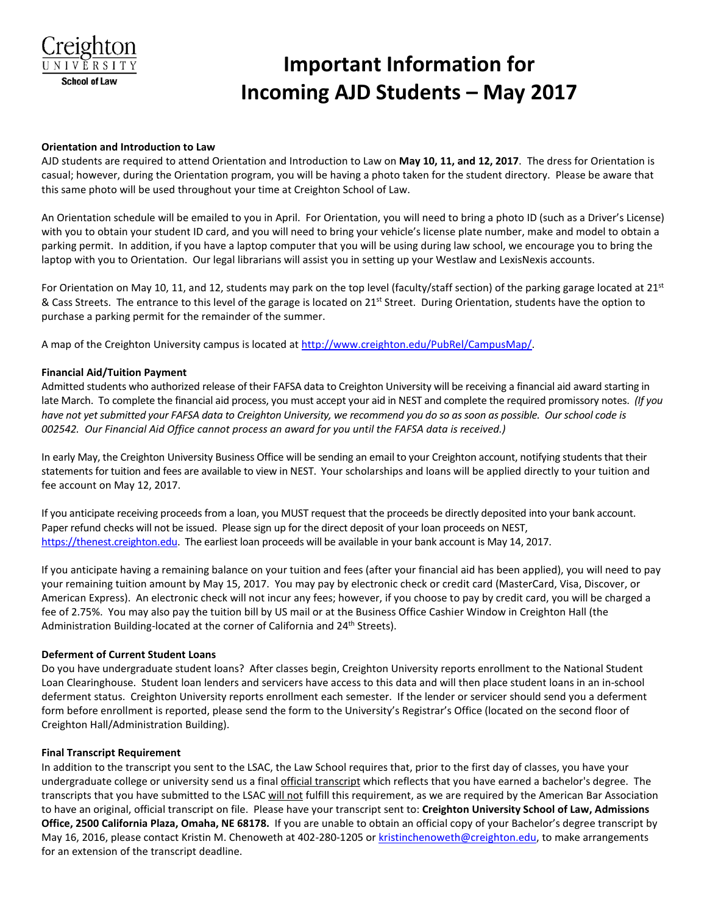

# **Important Information for Incoming AJD Students – May 2017**

## **Orientation and Introduction to Law**

AJD students are required to attend Orientation and Introduction to Law on **May 10, 11, and 12, 2017**. The dress for Orientation is casual; however, during the Orientation program, you will be having a photo taken for the student directory. Please be aware that this same photo will be used throughout your time at Creighton School of Law.

An Orientation schedule will be emailed to you in April. For Orientation, you will need to bring a photo ID (such as a Driver's License) with you to obtain your student ID card, and you will need to bring your vehicle's license plate number, make and model to obtain a parking permit. In addition, if you have a laptop computer that you will be using during law school, we encourage you to bring the laptop with you to Orientation. Our legal librarians will assist you in setting up your Westlaw and LexisNexis accounts.

For Orientation on May 10, 11, and 12, students may park on the top level (faculty/staff section) of the parking garage located at  $21<sup>st</sup>$ & Cass Streets. The entrance to this level of the garage is located on 21<sup>st</sup> Street. During Orientation, students have the option to purchase a parking permit for the remainder of the summer.

A map of the Creighton University campus is located at [http://www.creighton.edu/PubRel/CampusMap/.](http://www.creighton.edu/PubRel/CampusMap/)

## **Financial Aid/Tuition Payment**

Admitted students who authorized release of their FAFSA data to Creighton University will be receiving a financial aid award starting in late March. To complete the financial aid process, you must accept your aid in NEST and complete the required promissory notes. *(If you have not yet submitted your FAFSA data to Creighton University, we recommend you do so as soon as possible. Our school code is 002542. Our Financial Aid Office cannot process an award for you until the FAFSA data is received.)* 

In early May, the Creighton University Business Office will be sending an email to your Creighton account, notifying students that their statements for tuition and fees are available to view in NEST. Your scholarships and loans will be applied directly to your tuition and fee account on May 12, 2017.

If you anticipate receiving proceeds from a loan, you MUST request that the proceeds be directly deposited into your bank account. Paper refund checks will not be issued. Please sign up for the direct deposit of your loan proceeds on NEST, [https://thenest.creighton.edu.](https://thenest.creighton.edu/) The earliest loan proceeds will be available in your bank account is May 14, 2017.

If you anticipate having a remaining balance on your tuition and fees (after your financial aid has been applied), you will need to pay your remaining tuition amount by May 15, 2017. You may pay by electronic check or credit card (MasterCard, Visa, Discover, or American Express). An electronic check will not incur any fees; however, if you choose to pay by credit card, you will be charged a fee of 2.75%. You may also pay the tuition bill by US mail or at the Business Office Cashier Window in Creighton Hall (the Administration Building-located at the corner of California and 24<sup>th</sup> Streets).

## **Deferment of Current Student Loans**

Do you have undergraduate student loans? After classes begin, Creighton University reports enrollment to the National Student Loan Clearinghouse. Student loan lenders and servicers have access to this data and will then place student loans in an in-school deferment status. Creighton University reports enrollment each semester. If the lender or servicer should send you a deferment form before enrollment is reported, please send the form to the University's Registrar's Office (located on the second floor of Creighton Hall/Administration Building).

## **Final Transcript Requirement**

In addition to the transcript you sent to the LSAC, the Law School requires that, prior to the first day of classes, you have your undergraduate college or university send us a final official transcript which reflects that you have earned a bachelor's degree. The transcripts that you have submitted to the LSAC will not fulfill this requirement, as we are required by the American Bar Association to have an original, official transcript on file. Please have your transcript sent to: **Creighton University School of Law, Admissions Office, 2500 California Plaza, Omaha, NE 68178.** If you are unable to obtain an official copy of your Bachelor's degree transcript by May 16, 2016, please contact Kristin M. Chenoweth at 402-280-1205 or [kristinchenoweth@creighton.edu,](mailto:kristinchenoweth@creighton.edu) to make arrangements for an extension of the transcript deadline.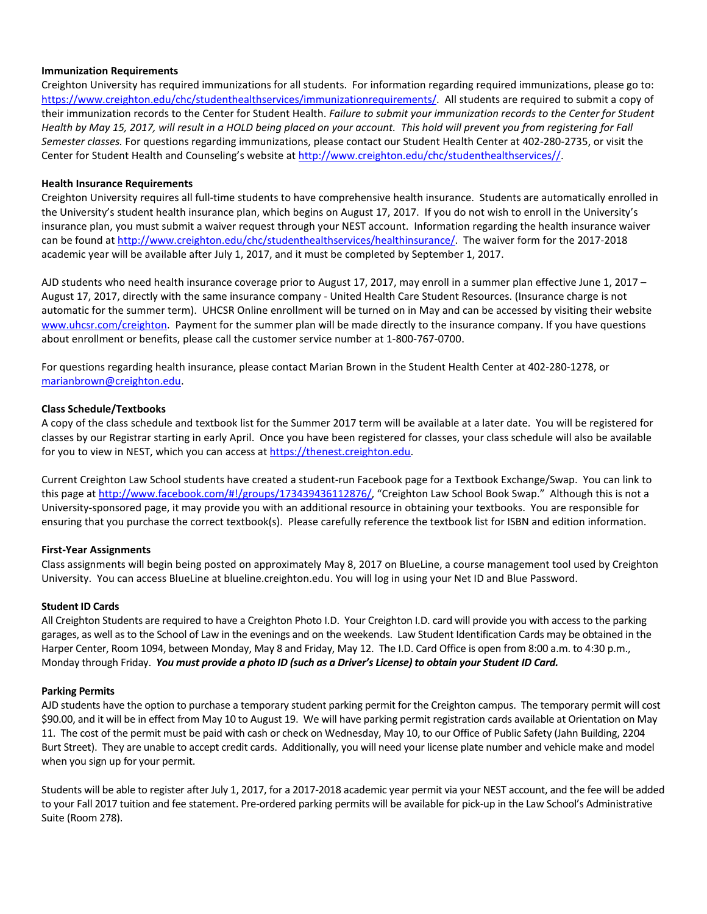## **Immunization Requirements**

Creighton University has required immunizations for all students. For information regarding required immunizations, please go to: [https://www.creighton.edu/chc/studenthealthservices/immunizationrequirements/.](https://www.creighton.edu/chc/studenthealthservices/immunizationrequirements/) All students are required to submit a copy of their immunization records to the Center for Student Health. *Failure to submit your immunization records to the Center for Student Health by May 15, 2017, will result in a HOLD being placed on your account. This hold will prevent you from registering for Fall Semester classes.* For questions regarding immunizations, please contact our Student Health Center at 402-280-2735, or visit the Center for Student Health and Counseling's website a[t http://www.creighton.edu/chc/studenthealthservices//.](http://www.creighton.edu/chc/studenthealthservices/)

## **Health Insurance Requirements**

Creighton University requires all full-time students to have comprehensive health insurance. Students are automatically enrolled in the University's student health insurance plan, which begins on August 17, 2017. If you do not wish to enroll in the University's insurance plan, you must submit a waiver request through your NEST account. Information regarding the health insurance waiver can be found at [http://www.creighton.edu/chc/studenthealthservices/healthinsurance/.](http://www.creighton.edu/chc/studenthealthservices/healthinsurance/) The waiver form for the 2017-2018 academic year will be available after July 1, 2017, and it must be completed by September 1, 2017.

AJD students who need health insurance coverage prior to August 17, 2017, may enroll in a summer plan effective June 1, 2017 – August 17, 2017, directly with the same insurance company - United Health Care Student Resources. (Insurance charge is not automatic for the summer term). UHCSR Online enrollment will be turned on in May and can be accessed by visiting their website [www.uhcsr.com/creighton.](http://www.uhcsr.com/creighton) Payment for the summer plan will be made directly to the insurance company. If you have questions about enrollment or benefits, please call the customer service number at 1-800-767-0700.

For questions regarding health insurance, please contact Marian Brown in the Student Health Center at 402-280-1278, or [marianbrown@creighton.edu.](mailto:marianbrown@creighton.edu)

## **Class Schedule/Textbooks**

A copy of the class schedule and textbook list for the Summer 2017 term will be available at a later date. You will be registered for classes by our Registrar starting in early April. Once you have been registered for classes, your class schedule will also be available for you to view in NEST, which you can access at [https://thenest.creighton.edu.](https://thenest.creighton.edu/)

Current Creighton Law School students have created a student-run Facebook page for a Textbook Exchange/Swap. You can link to this page a[t http://www.facebook.com/#!/groups/173439436112876/,](http://www.facebook.com/#!/groups/173439436112876/) "Creighton Law School Book Swap." Although this is not a University-sponsored page, it may provide you with an additional resource in obtaining your textbooks. You are responsible for ensuring that you purchase the correct textbook(s). Please carefully reference the textbook list for ISBN and edition information.

## **First-Year Assignments**

Class assignments will begin being posted on approximately May 8, 2017 on BlueLine, a course management tool used by Creighton University. You can access BlueLine at blueline.creighton.edu. You will log in using your Net ID and Blue Password.

## **Student ID Cards**

All Creighton Students are required to have a Creighton Photo I.D. Your Creighton I.D. card will provide you with access to the parking garages, as well as to the School of Law in the evenings and on the weekends. Law Student Identification Cards may be obtained in the Harper Center, Room 1094, between Monday, May 8 and Friday, May 12. The I.D. Card Office is open from 8:00 a.m. to 4:30 p.m., Monday through Friday. *You must provide a photo ID (such as a Driver's License) to obtain your Student ID Card.*

## **Parking Permits**

AJD students have the option to purchase a temporary student parking permit for the Creighton campus. The temporary permit will cost \$90.00, and it will be in effect from May 10 to August 19. We will have parking permit registration cards available at Orientation on May 11. The cost of the permit must be paid with cash or check on Wednesday, May 10, to our Office of Public Safety (Jahn Building, 2204 Burt Street). They are unable to accept credit cards. Additionally, you will need your license plate number and vehicle make and model when you sign up for your permit.

Students will be able to register after July 1, 2017, for a 2017-2018 academic year permit via your NEST account, and the fee will be added to your Fall 2017 tuition and fee statement. Pre-ordered parking permits will be available for pick-up in the Law School's Administrative Suite (Room 278).